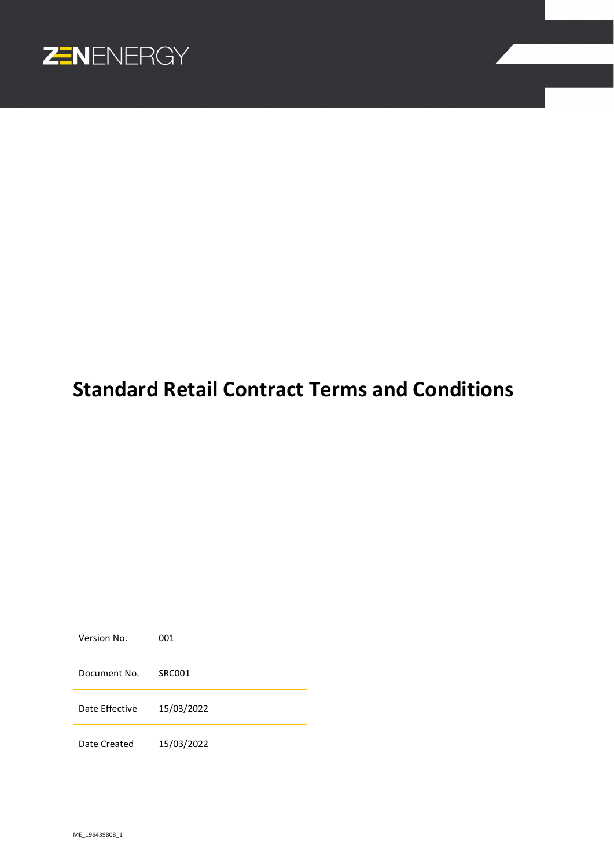

# **Standard Retail Contract Terms and Conditions**

Version No. 001 Document No. SRC001 Date Effective 15/03/2022 Date Created 15/03/2022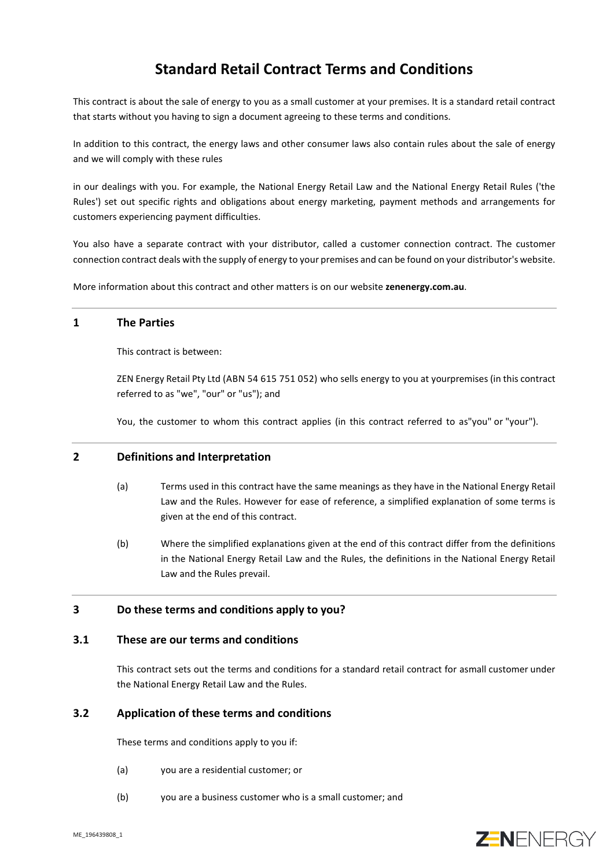## **Standard Retail Contract Terms and Conditions**

This contract is about the sale of energy to you as a small customer at your premises. It is a standard retail contract that starts without you having to sign a document agreeing to these terms and conditions.

In addition to this contract, the energy laws and other consumer laws also contain rules about the sale of energy and we will comply with these rules

in our dealings with you. For example, the National Energy Retail Law and the National Energy Retail Rules ('the Rules') set out specific rights and obligations about energy marketing, payment methods and arrangements for customers experiencing payment difficulties.

You also have a separate contract with your distributor, called a customer connection contract. The customer connection contract deals with the supply of energy to your premises and can be found on your distributor's website.

More information about this contract and other matters is on our website **zenenergy.com.au**.

## **1 The Parties**

This contract is between:

ZEN Energy Retail Pty Ltd (ABN 54 615 751 052) who sells energy to you at yourpremises (in this contract referred to as "we", "our" or "us"); and

You, the customer to whom this contract applies (in this contract referred to as"you" or "your").

## **2 Definitions and Interpretation**

- (a) Terms used in this contract have the same meanings as they have in the National Energy Retail Law and the Rules. However for ease of reference, a simplified explanation of some terms is given at the end of this contract.
- (b) Where the simplified explanations given at the end of this contract differ from the definitions in the National Energy Retail Law and the Rules, the definitions in the National Energy Retail Law and the Rules prevail.

## **3 Do these terms and conditions apply to you?**

## **3.1 These are our terms and conditions**

This contract sets out the terms and conditions for a standard retail contract for asmall customer under the National Energy Retail Law and the Rules.

## **3.2 Application of these terms and conditions**

These terms and conditions apply to you if:

- (a) you are a residential customer; or
- (b) you are a business customer who is a small customer; and

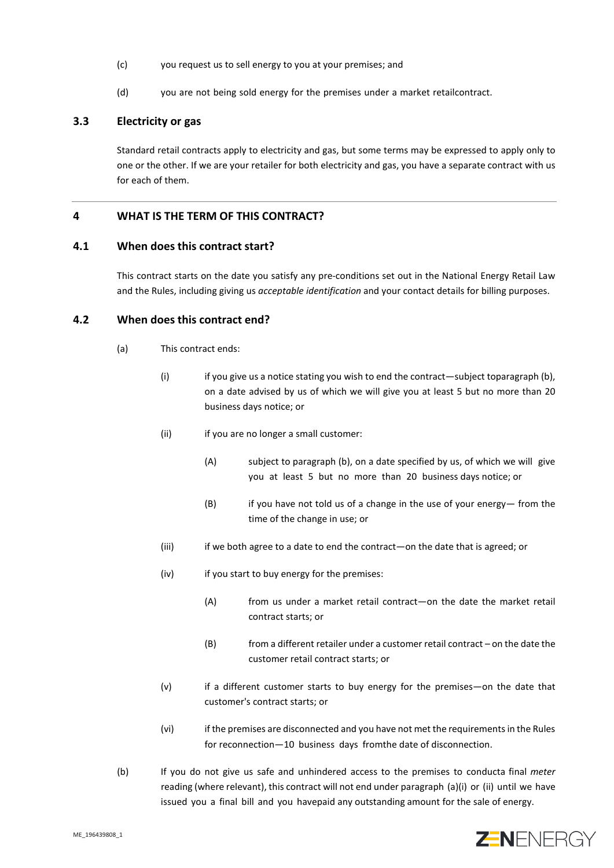- (c) you request us to sell energy to you at your premises; and
- (d) you are not being sold energy for the premises under a market retailcontract.

## **3.3 Electricity or gas**

Standard retail contracts apply to electricity and gas, but some terms may be expressed to apply only to one or the other. If we are your retailer for both electricity and gas, you have a separate contract with us for each of them.

## **4 WHAT IS THE TERM OF THIS CONTRACT?**

#### **4.1 When does this contract start?**

This contract starts on the date you satisfy any pre-conditions set out in the National Energy Retail Law and the Rules, including giving us *acceptable identification* and your contact details for billing purposes.

## <span id="page-2-2"></span><span id="page-2-1"></span><span id="page-2-0"></span>**4.2 When does this contract end?**

- (a) This contract ends:
	- (i) if you give us a notice stating you wish to end the contract—subject toparagraph (b), on a date advised by us of which we will give you at least 5 but no more than 20 business days notice; or
	- (ii) if you are no longer a small customer:
		- (A) subject to paragraph (b), on a date specified by us, of which we will give you at least 5 but no more than 20 business days notice; or
		- (B) if you have not told us of a change in the use of your energy— from the time of the change in use; or
	- (iii) if we both agree to a date to end the contract—on the date that is agreed; or
	- (iv) if you start to buy energy for the premises:
		- (A) from us under a market retail contract—on the date the market retail contract starts; or
		- (B) from a different retailer under a customer retail contract on the date the customer retail contract starts; or
	- (v) if a different customer starts to buy energy for the premises—on the date that customer's contract starts; or
	- (vi) if the premises are disconnected and you have not met the requirements in the Rules for reconnection—10 business days fromthe date of disconnection.
- (b) If you do not give us safe and unhindered access to the premises to conducta final *meter*  reading (where relevant), this contract will not end under paragraph (a)(i) or (ii) until we have issued you a final bill and you havepaid any outstanding amount for the sale of energy.

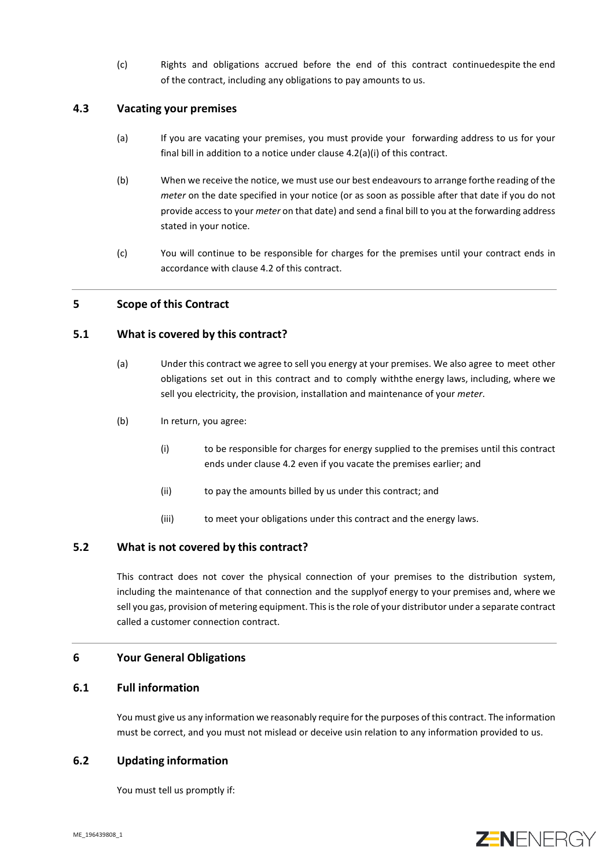(c) Rights and obligations accrued before the end of this contract continuedespite the end of the contract, including any obligations to pay amounts to us.

## **4.3 Vacating your premises**

- (a) If you are vacating your premises, you must provide your forwarding address to us for your final bill in addition to a notice under clause [4.2](#page-2-0)[\(a\)](#page-2-1)[\(i\)](#page-2-2) of this contract.
- (b) When we receive the notice, we must use our best endeavours to arrange forthe reading of the *meter* on the date specified in your notice (or as soon as possible after that date if you do not provide access to your *meter* on that date) and send a final bill to you at the forwarding address stated in your notice.
- (c) You will continue to be responsible for charges for the premises until your contract ends in accordance with clause [4.2](#page-2-0) of this contract.

## **5 Scope of this Contract**

## **5.1 What is covered by this contract?**

- (a) Under this contract we agree to sell you energy at your premises. We also agree to meet other obligations set out in this contract and to comply withthe energy laws, including, where we sell you electricity, the provision, installation and maintenance of your *meter*.
- (b) In return, you agree:
	- (i) to be responsible for charges for energy supplied to the premises until this contract ends under claus[e 4.2](#page-2-0) even if you vacate the premises earlier; and
	- (ii) to pay the amounts billed by us under this contract; and
	- (iii) to meet your obligations under this contract and the energy laws.

## **5.2 What is not covered by this contract?**

This contract does not cover the physical connection of your premises to the distribution system, including the maintenance of that connection and the supplyof energy to your premises and, where we sell you gas, provision of metering equipment. This is the role of your distributor under a separate contract called a customer connection contract.

## **6 Your General Obligations**

## **6.1 Full information**

You must give us any information we reasonably require for the purposes of this contract. The information must be correct, and you must not mislead or deceive usin relation to any information provided to us.

## **6.2 Updating information**

You must tell us promptly if:

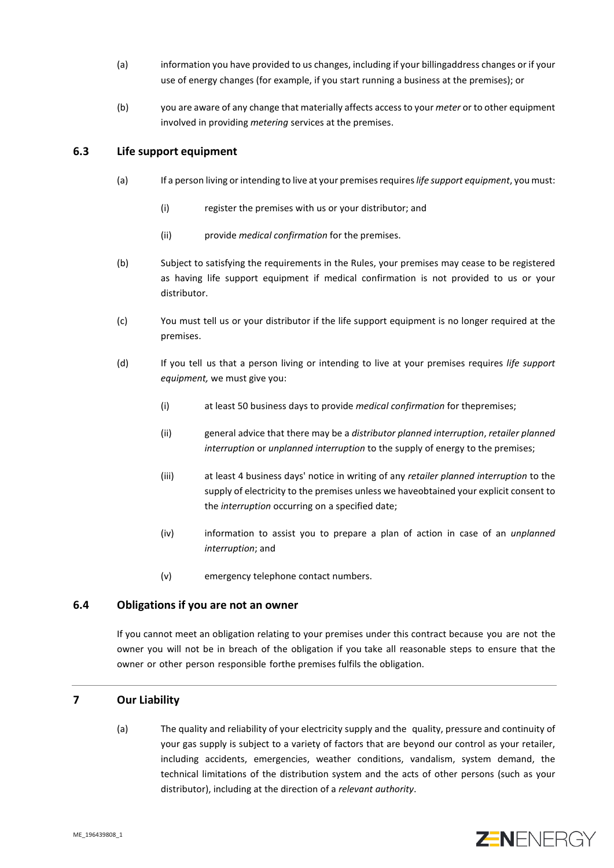- (a) information you have provided to us changes, including if your billingaddress changes or if your use of energy changes (for example, if you start running a business at the premises); or
- (b) you are aware of any change that materially affects access to your *meter* or to other equipment involved in providing *metering* services at the premises.

## <span id="page-4-0"></span>**6.3 Life support equipment**

- (a) If a person living or intending to live at your premises requires *life support equipment*, you must:
	- (i) register the premises with us or your distributor; and
	- (ii) provide *medical confirmation* for the premises.
- (b) Subject to satisfying the requirements in the Rules, your premises may cease to be registered as having life support equipment if medical confirmation is not provided to us or your distributor.
- (c) You must tell us or your distributor if the life support equipment is no longer required at the premises.
- <span id="page-4-2"></span><span id="page-4-1"></span>(d) If you tell us that a person living or intending to live at your premises requires *life support equipment,* we must give you:
	- (i) at least 50 business days to provide *medical confirmation* for thepremises;
	- (ii) general advice that there may be a *distributor planned interruption*, *retailer planned interruption* or *unplanned interruption* to the supply of energy to the premises;
	- (iii) at least 4 business days' notice in writing of any *retailer planned interruption* to the supply of electricity to the premises unless we haveobtained your explicit consent to the *interruption* occurring on a specified date;
	- (iv) information to assist you to prepare a plan of action in case of an *unplanned interruption*; and
	- (v) emergency telephone contact numbers.

## **6.4 Obligations if you are not an owner**

If you cannot meet an obligation relating to your premises under this contract because you are not the owner you will not be in breach of the obligation if you take all reasonable steps to ensure that the owner or other person responsible forthe premises fulfils the obligation.

## **7 Our Liability**

(a) The quality and reliability of your electricity supply and the quality, pressure and continuity of your gas supply is subject to a variety of factors that are beyond our control as your retailer, including accidents, emergencies, weather conditions, vandalism, system demand, the technical limitations of the distribution system and the acts of other persons (such as your distributor), including at the direction of a *relevant authority*.

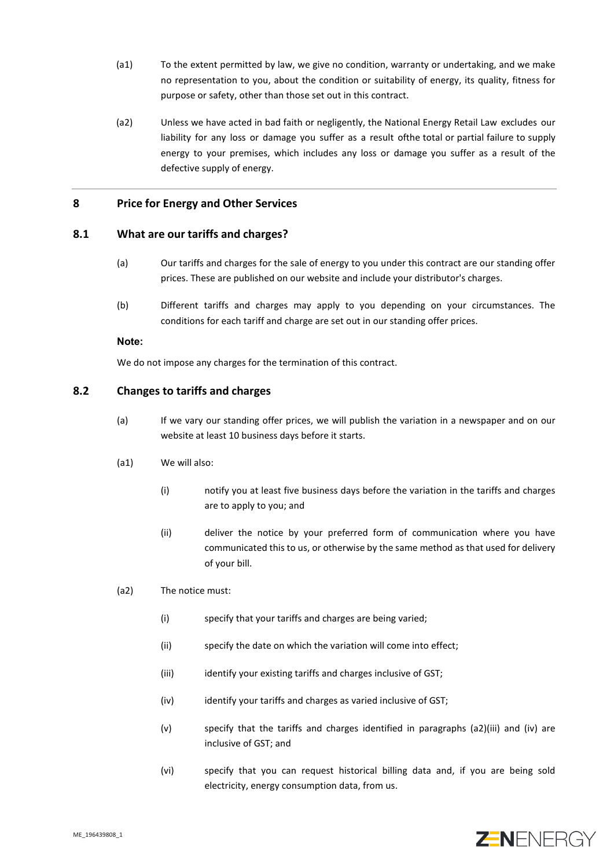- (a1) To the extent permitted by law, we give no condition, warranty or undertaking, and we make no representation to you, about the condition or suitability of energy, its quality, fitness for purpose or safety, other than those set out in this contract.
- (a2) Unless we have acted in bad faith or negligently, the National Energy Retail Law excludes our liability for any loss or damage you suffer as a result ofthe total or partial failure to supply energy to your premises, which includes any loss or damage you suffer as a result of the defective supply of energy.

## **8 Price for Energy and Other Services**

## **8.1 What are our tariffs and charges?**

- (a) Our tariffs and charges for the sale of energy to you under this contract are our standing offer prices. These are published on our website and include your distributor's charges.
- (b) Different tariffs and charges may apply to you depending on your circumstances. The conditions for each tariff and charge are set out in our standing offer prices.

**Note:**

We do not impose any charges for the termination of this contract.

## <span id="page-5-2"></span><span id="page-5-0"></span>**8.2 Changes to tariffs and charges**

- (a) If we vary our standing offer prices, we will publish the variation in a newspaper and on our website at least 10 business days before it starts.
- <span id="page-5-3"></span><span id="page-5-1"></span>(a1) We will also:
	- (i) notify you at least five business days before the variation in the tariffs and charges are to apply to you; and
	- (ii) deliver the notice by your preferred form of communication where you have communicated this to us, or otherwise by the same method as that used for delivery of your bill.
- <span id="page-5-5"></span><span id="page-5-4"></span>(a2) The notice must:
	- (i) specify that your tariffs and charges are being varied;
	- (ii) specify the date on which the variation will come into effect;
	- (iii) identify your existing tariffs and charges inclusive of GST;
	- (iv) identify your tariffs and charges as varied inclusive of GST;
	- (v) specify that the tariffs and charges identified in paragraphs (a2)(iii) and (iv) are inclusive of GST; and
	- (vi) specify that you can request historical billing data and, if you are being sold electricity, energy consumption data, from us.

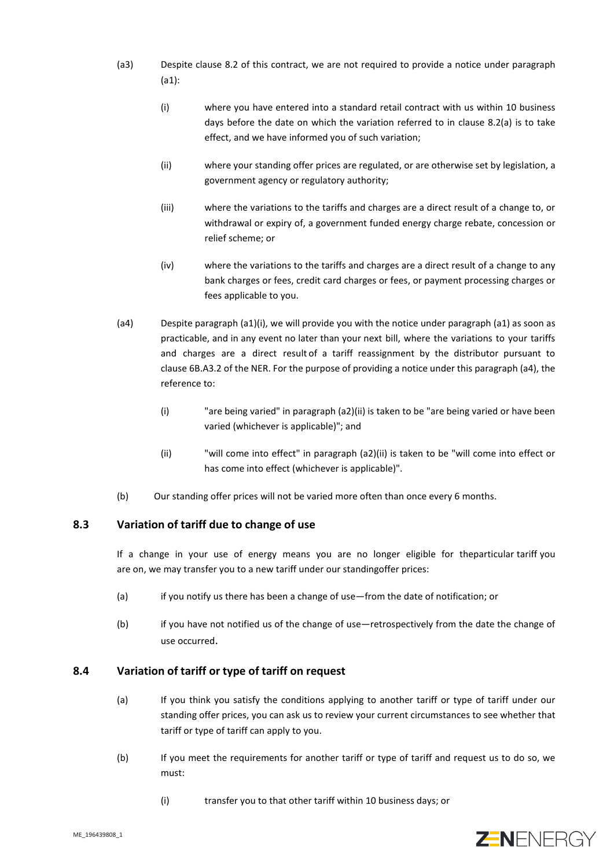- (a3) Despite clause [8.2](#page-5-0) of this contract, we are not required to provide a notice under paragraph [\(a1\):](#page-5-1)
	- (i) where you have entered into a standard retail contract with us within 10 business days before the date on which the variation referred to in clause [8.2](#page-5-0)[\(a\)](#page-5-2) is to take effect, and we have informed you of such variation;
	- (ii) where your standing offer prices are regulated, or are otherwise set by legislation, a government agency or regulatory authority;
	- (iii) where the variations to the tariffs and charges are a direct result of a change to, or withdrawal or expiry of, a government funded energy charge rebate, concession or relief scheme; or
	- (iv) where the variations to the tariffs and charges are a direct result of a change to any bank charges or fees, credit card charges or fees, or payment processing charges or fees applicable to you.
- <span id="page-6-0"></span>(a4) Despite paragraph [\(a1\)](#page-5-1)[\(i\),](#page-5-3) we will provide you with the notice under paragraph [\(a1\)](#page-5-1) as soon as practicable, and in any event no later than your next bill, where the variations to your tariffs and charges are a direct result of a tariff reassignment by the distributor pursuant to clause 6B.A3.2 of the NER. For the purpose of providing a notice under this paragraph [\(a4\)](#page-6-0), the reference to:
	- (i) "are being varied" in paragraph [\(a2\)](#page-5-4)[\(ii\)](#page-5-5) is taken to be "are being varied or have been varied (whichever is applicable)"; and
	- (ii) "will come into effect" in paragraph [\(a2\)](#page-5-4)[\(ii\)](#page-5-5) is taken to be "will come into effect or has come into effect (whichever is applicable)".
- (b) Our standing offer prices will not be varied more often than once every 6 months.

## **8.3 Variation of tariff due to change of use**

If a change in your use of energy means you are no longer eligible for theparticular tariff you are on, we may transfer you to a new tariff under our standingoffer prices:

- (a) if you notify us there has been a change of use—from the date of notification; or
- (b) if you have not notified us of the change of use—retrospectively from the date the change of use occurred.

## **8.4 Variation of tariff or type of tariff on request**

- (a) If you think you satisfy the conditions applying to another tariff or type of tariff under our standing offer prices, you can ask us to review your current circumstances to see whether that tariff or type of tariff can apply to you.
- (b) If you meet the requirements for another tariff or type of tariff and request us to do so, we must:
	- (i) transfer you to that other tariff within 10 business days; or

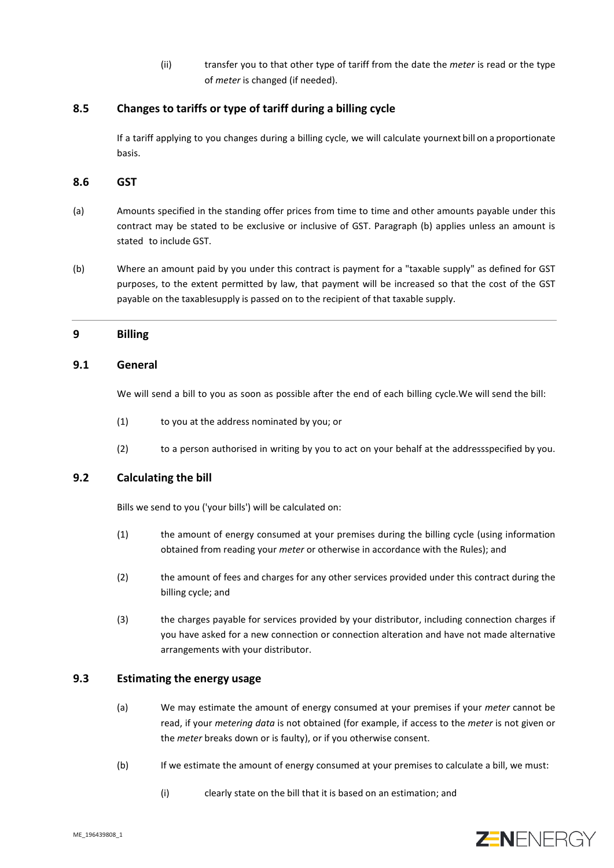(ii) transfer you to that other type of tariff from the date the *meter* is read or the type of *meter* is changed (if needed).

## **8.5 Changes to tariffs or type of tariff during a billing cycle**

If a tariff applying to you changes during a billing cycle, we will calculate yournext bill on a proportionate basis.

#### **8.6 GST**

- (a) Amounts specified in the standing offer prices from time to time and other amounts payable under this contract may be stated to be exclusive or inclusive of GST. Paragraph (b) applies unless an amount is stated to include GST.
- (b) Where an amount paid by you under this contract is payment for a "taxable supply" as defined for GST purposes, to the extent permitted by law, that payment will be increased so that the cost of the GST payable on the taxablesupply is passed on to the recipient of that taxable supply.

## **9 Billing**

#### **9.1 General**

We will send a bill to you as soon as possible after the end of each billing cycle.We will send the bill:

- (1) to you at the address nominated by you; or
- (2) to a person authorised in writing by you to act on your behalf at the addressspecified by you.

## **9.2 Calculating the bill**

Bills we send to you ('your bills') will be calculated on:

- (1) the amount of energy consumed at your premises during the billing cycle (using information obtained from reading your *meter* or otherwise in accordance with the Rules); and
- (2) the amount of fees and charges for any other services provided under this contract during the billing cycle; and
- (3) the charges payable for services provided by your distributor, including connection charges if you have asked for a new connection or connection alteration and have not made alternative arrangements with your distributor.

## **9.3 Estimating the energy usage**

- (a) We may estimate the amount of energy consumed at your premises if your *meter* cannot be read, if your *metering data* is not obtained (for example, if access to the *meter* is not given or the *meter* breaks down or is faulty), or if you otherwise consent.
- (b) If we estimate the amount of energy consumed at your premises to calculate a bill, we must:
	- (i) clearly state on the bill that it is based on an estimation; and

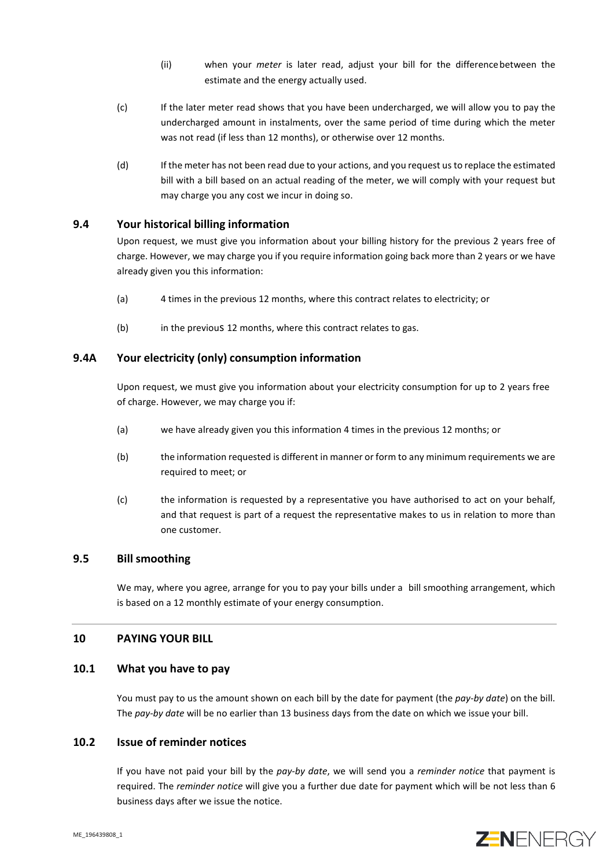- (ii) when your *meter* is later read, adjust your bill for the differencebetween the estimate and the energy actually used.
- (c) If the later meter read shows that you have been undercharged, we will allow you to pay the undercharged amount in instalments, over the same period of time during which the meter was not read (if less than 12 months), or otherwise over 12 months.
- (d) If the meter has not been read due to your actions, and you request us to replace the estimated bill with a bill based on an actual reading of the meter, we will comply with your request but may charge you any cost we incur in doing so.

## **9.4 Your historical billing information**

Upon request, we must give you information about your billing history for the previous 2 years free of charge. However, we may charge you if you require information going back more than 2 years or we have already given you this information:

- (a) 4 times in the previous 12 months, where this contract relates to electricity; or
- (b) in the previous 12 months, where this contract relates to gas.

## **9.4A Your electricity (only) consumption information**

Upon request, we must give you information about your electricity consumption for up to 2 years free of charge. However, we may charge you if:

- (a) we have already given you this information 4 times in the previous 12 months; or
- (b) the information requested is different in manner or form to any minimum requirements we are required to meet; or
- (c) the information is requested by a representative you have authorised to act on your behalf, and that request is part of a request the representative makes to us in relation to more than one customer.

## **9.5 Bill smoothing**

We may, where you agree, arrange for you to pay your bills under a bill smoothing arrangement, which is based on a 12 monthly estimate of your energy consumption.

## **10 PAYING YOUR BILL**

## **10.1 What you have to pay**

You must pay to us the amount shown on each bill by the date for payment (the *pay-by date*) on the bill. The *pay-by date* will be no earlier than 13 business days from the date on which we issue your bill.

## **10.2 Issue of reminder notices**

If you have not paid your bill by the *pay-by date*, we will send you a *reminder notice* that payment is required. The *reminder notice* will give you a further due date for payment which will be not less than 6 business days after we issue the notice.

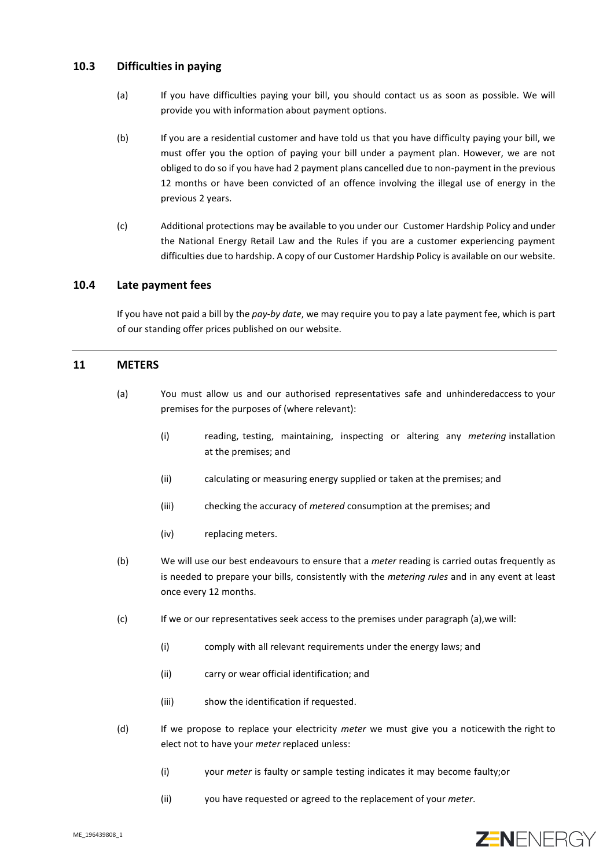## **10.3 Difficulties in paying**

- (a) If you have difficulties paying your bill, you should contact us as soon as possible. We will provide you with information about payment options.
- (b) If you are a residential customer and have told us that you have difficulty paying your bill, we must offer you the option of paying your bill under a payment plan. However, we are not obliged to do so if you have had 2 payment plans cancelled due to non-payment in the previous 12 months or have been convicted of an offence involving the illegal use of energy in the previous 2 years.
- (c) Additional protections may be available to you under our Customer Hardship Policy and under the National Energy Retail Law and the Rules if you are a customer experiencing payment difficulties due to hardship. A copy of our Customer Hardship Policy is available on our website.

## **10.4 Late payment fees**

If you have not paid a bill by the *pay-by date*, we may require you to pay a late payment fee, which is part of our standing offer prices published on our website.

## <span id="page-9-0"></span>**11 METERS**

- (a) You must allow us and our authorised representatives safe and unhinderedaccess to your premises for the purposes of (where relevant):
	- (i) reading, testing, maintaining, inspecting or altering any *metering* installation at the premises; and
	- (ii) calculating or measuring energy supplied or taken at the premises; and
	- (iii) checking the accuracy of *metered* consumption at the premises; and
	- (iv) replacing meters.
- (b) We will use our best endeavours to ensure that a *meter* reading is carried outas frequently as is needed to prepare your bills, consistently with the *metering rules* and in any event at least once every 12 months.
- (c) If we or our representatives seek access to the premises under paragraph (a),we will:
	- (i) comply with all relevant requirements under the energy laws; and
	- (ii) carry or wear official identification; and
	- (iii) show the identification if requested.
- (d) If we propose to replace your electricity *meter* we must give you a noticewith the right to elect not to have your *meter* replaced unless:
	- (i) your *meter* is faulty or sample testing indicates it may become faulty;or
	- (ii) you have requested or agreed to the replacement of your *meter*.

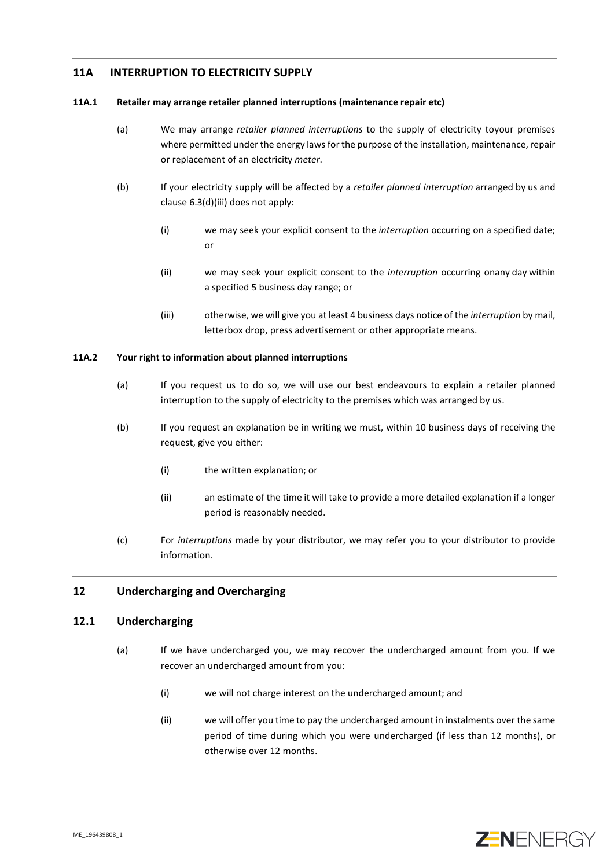## **11A INTERRUPTION TO ELECTRICITY SUPPLY**

#### **11A.1 Retailer may arrange retailer planned interruptions (maintenance repair etc)**

- (a) We may arrange *retailer planned interruptions* to the supply of electricity toyour premises where permitted under the energy laws for the purpose of the installation, maintenance, repair or replacement of an electricity *meter*.
- (b) If your electricity supply will be affected by a *retailer planned interruption* arranged by us and clause [6.3](#page-4-0)[\(d\)](#page-4-1)[\(iii\)](#page-4-2) does not apply:
	- (i) we may seek your explicit consent to the *interruption* occurring on a specified date; or
	- (ii) we may seek your explicit consent to the *interruption* occurring onany day within a specified 5 business day range; or
	- (iii) otherwise, we will give you at least 4 business days notice of the *interruption* by mail, letterbox drop, press advertisement or other appropriate means.

#### **11A.2 Your right to information about planned interruptions**

- (a) If you request us to do so, we will use our best endeavours to explain a retailer planned interruption to the supply of electricity to the premises which was arranged by us.
- (b) If you request an explanation be in writing we must, within 10 business days of receiving the request, give you either:
	- (i) the written explanation; or
	- (ii) an estimate of the time it will take to provide a more detailed explanation if a longer period is reasonably needed.
- (c) For *interruptions* made by your distributor, we may refer you to your distributor to provide information.

## **12 Undercharging and Overcharging**

## **12.1 Undercharging**

- (a) If we have undercharged you, we may recover the undercharged amount from you. If we recover an undercharged amount from you:
	- (i) we will not charge interest on the undercharged amount; and
	- (ii) we will offer you time to pay the undercharged amount in instalments over the same period of time during which you were undercharged (if less than 12 months), or otherwise over 12 months.

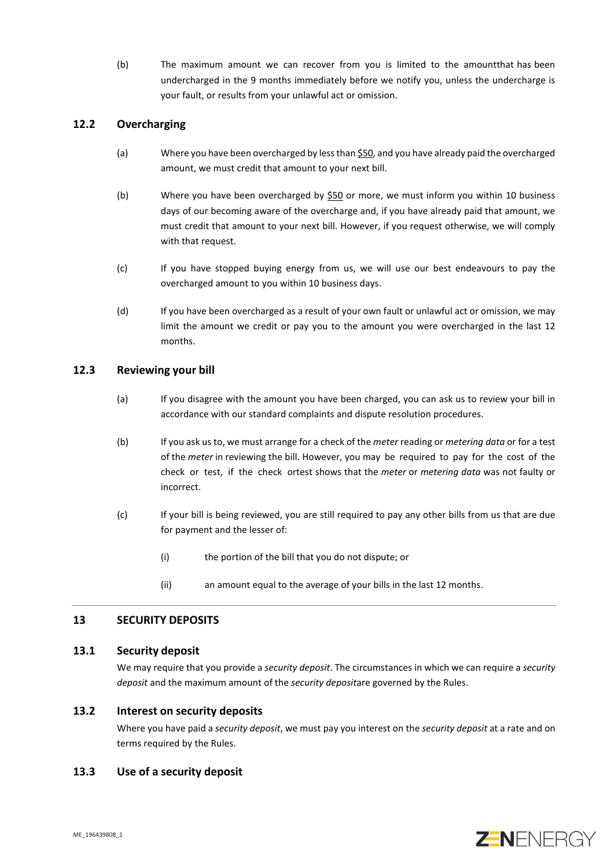(b) The maximum amount we can recover from you is limited to the amountthat has been undercharged in the 9 months immediately before we notify you, unless the undercharge is your fault, or results from your unlawful act or omission.

## **12.2 Overcharging**

- (a) Where you have been overcharged by less than \$50, and you have already paid the overcharged amount, we must credit that amount to your next bill.
- (b) Where you have been overcharged by  $$50$  or more, we must inform you within 10 business days of our becoming aware of the overcharge and, if you have already paid that amount, we must credit that amount to your next bill. However, if you request otherwise, we will comply with that request.
- (c) If you have stopped buying energy from us, we will use our best endeavours to pay the overcharged amount to you within 10 business days.
- (d) If you have been overcharged as a result of your own fault or unlawful act or omission, we may limit the amount we credit or pay you to the amount you were overcharged in the last 12 months.

## **12.3 Reviewing your bill**

- (a) If you disagree with the amount you have been charged, you can ask us to review your bill in accordance with our standard complaints and dispute resolution procedures.
- (b) If you ask us to, we must arrange for a check of the *meter* reading or *metering data* or for a test of the *meter* in reviewing the bill. However, you may be required to pay for the cost of the check or test, if the check ortest shows that the *meter* or *metering data* was not faulty or incorrect.
- (c) If your bill is being reviewed, you are still required to pay any other bills from us that are due for payment and the lesser of:
	- (i) the portion of the bill that you do not dispute; or
	- (ii) an amount equal to the average of your bills in the last 12 months.

## **13 SECURITY DEPOSITS**

## **13.1 Security deposit**

We may require that you provide a *security deposit*. The circumstances in which we can require a *security deposit* and the maximum amount of the *security deposit*are governed by the Rules.

## **13.2 Interest on security deposits**

Where you have paid a *security deposit*, we must pay you interest on the *security deposit* at a rate and on terms required by the Rules.

## **13.3 Use of a security deposit**

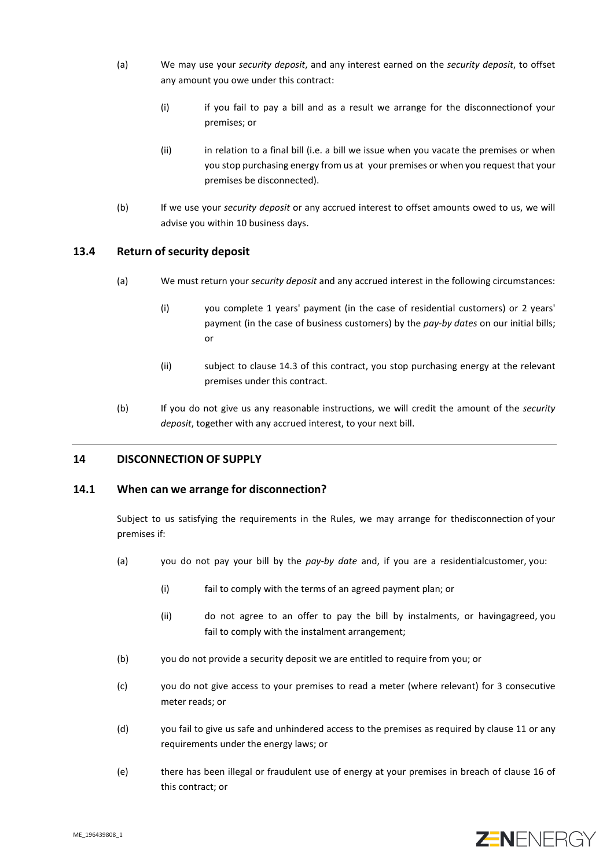- (a) We may use your *security deposit*, and any interest earned on the *security deposit*, to offset any amount you owe under this contract:
	- (i) if you fail to pay a bill and as a result we arrange for the disconnectionof your premises; or
	- (ii) in relation to a final bill (i.e. a bill we issue when you vacate the premises or when you stop purchasing energy from us at your premises or when you request that your premises be disconnected).
- (b) If we use your *security deposit* or any accrued interest to offset amounts owed to us, we will advise you within 10 business days.

## **13.4 Return of security deposit**

- (a) We must return your *security deposit* and any accrued interest in the following circumstances:
	- (i) you complete 1 years' payment (in the case of residential customers) or 2 years' payment (in the case of business customers) by the *pay-by dates* on our initial bills; or
	- (ii) subject to clause [14.3](#page-13-0) of this contract, you stop purchasing energy at the relevant premises under this contract.
- (b) If you do not give us any reasonable instructions, we will credit the amount of the *security deposit*, together with any accrued interest, to your next bill.

## **14 DISCONNECTION OF SUPPLY**

## <span id="page-12-0"></span>**14.1 When can we arrange for disconnection?**

Subject to us satisfying the requirements in the Rules, we may arrange for thedisconnection of your premises if:

- <span id="page-12-1"></span>(a) you do not pay your bill by the *pay-by date* and, if you are a residentialcustomer, you:
	- (i) fail to comply with the terms of an agreed payment plan; or
	- (ii) do not agree to an offer to pay the bill by instalments, or havingagreed, you fail to comply with the instalment arrangement;
- (b) you do not provide a security deposit we are entitled to require from you; or
- (c) you do not give access to your premises to read a meter (where relevant) for 3 consecutive meter reads; or
- (d) you fail to give us safe and unhindered access to the premises as required by clause [11](#page-9-0) or any requirements under the energy laws; or
- (e) there has been illegal or fraudulent use of energy at your premises in breach of clause [16](#page-14-0) of this contract; or

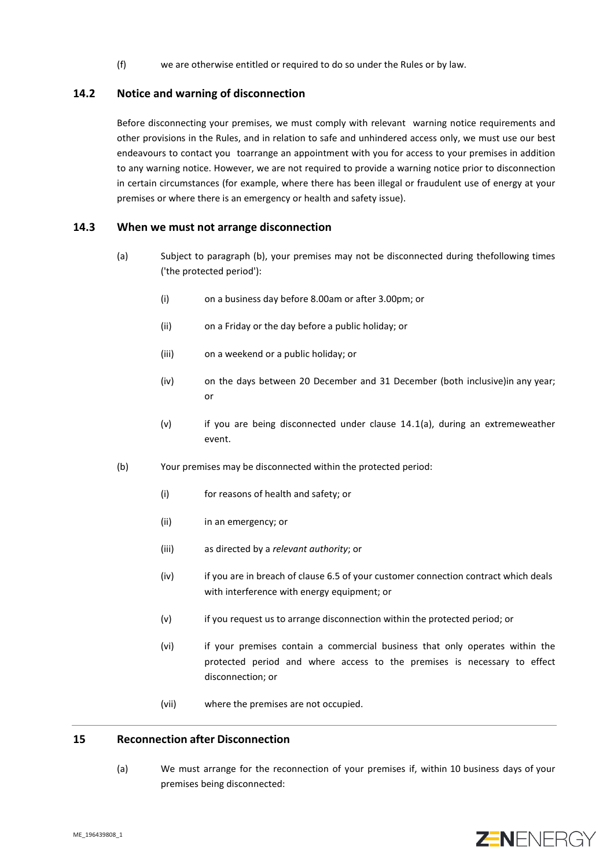(f) we are otherwise entitled or required to do so under the Rules or by law.

#### **14.2 Notice and warning of disconnection**

Before disconnecting your premises, we must comply with relevant warning notice requirements and other provisions in the Rules, and in relation to safe and unhindered access only, we must use our best endeavours to contact you toarrange an appointment with you for access to your premises in addition to any warning notice. However, we are not required to provide a warning notice prior to disconnection in certain circumstances (for example, where there has been illegal or fraudulent use of energy at your premises or where there is an emergency or health and safety issue).

#### <span id="page-13-0"></span>**14.3 When we must not arrange disconnection**

- (a) Subject to paragraph (b), your premises may not be disconnected during thefollowing times ('the protected period'):
	- (i) on a business day before 8.00am or after 3.00pm; or
	- (ii) on a Friday or the day before a public holiday; or
	- (iii) on a weekend or a public holiday; or
	- (iv) on the days between 20 December and 31 December (both inclusive)in any year; or
	- $(v)$  if you are being disconnected under clause [14.1](#page-12-0)[\(a\),](#page-12-1) during an extremeweather event.
- (b) Your premises may be disconnected within the protected period:
	- (i) for reasons of health and safety; or
	- (ii) in an emergency; or
	- (iii) as directed by a *relevant authority*; or
	- (iv) if you are in breach of clause 6.5 of your customer connection contract which deals with interference with energy equipment; or
	- (v) if you request us to arrange disconnection within the protected period; or
	- (vi) if your premises contain a commercial business that only operates within the protected period and where access to the premises is necessary to effect disconnection; or
	- (vii) where the premises are not occupied.

## **15 Reconnection after Disconnection**

(a) We must arrange for the reconnection of your premises if, within 10 business days of your premises being disconnected:

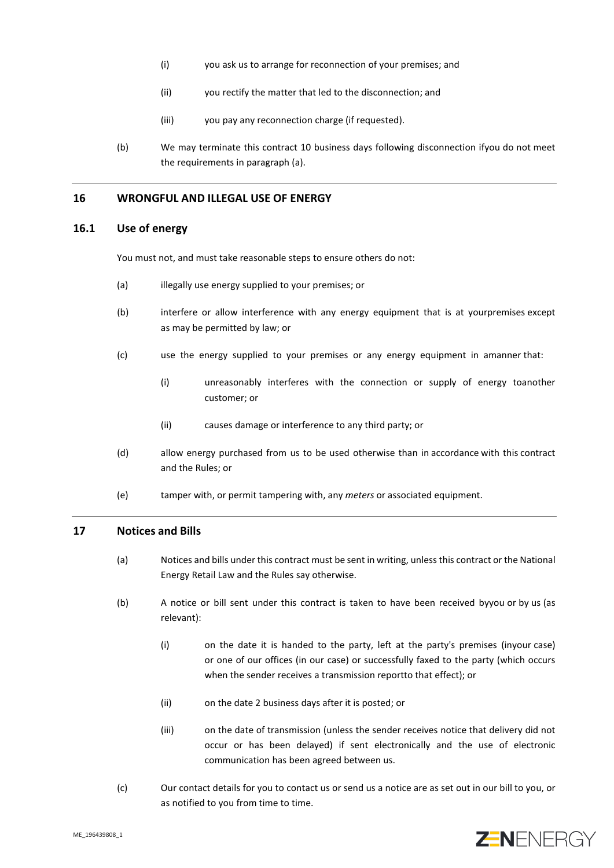- (i) you ask us to arrange for reconnection of your premises; and
- (ii) you rectify the matter that led to the disconnection; and
- (iii) you pay any reconnection charge (if requested).
- (b) We may terminate this contract 10 business days following disconnection ifyou do not meet the requirements in paragraph (a).

## <span id="page-14-0"></span>**16 WRONGFUL AND ILLEGAL USE OF ENERGY**

#### **16.1 Use of energy**

You must not, and must take reasonable steps to ensure others do not:

- (a) illegally use energy supplied to your premises; or
- (b) interfere or allow interference with any energy equipment that is at yourpremises except as may be permitted by law; or
- (c) use the energy supplied to your premises or any energy equipment in amanner that:
	- (i) unreasonably interferes with the connection or supply of energy toanother customer; or
	- (ii) causes damage or interference to any third party; or
- (d) allow energy purchased from us to be used otherwise than in accordance with this contract and the Rules; or
- (e) tamper with, or permit tampering with, any *meters* or associated equipment.

#### **17 Notices and Bills**

- (a) Notices and bills under this contract must be sent in writing, unless this contract or the National Energy Retail Law and the Rules say otherwise.
- (b) A notice or bill sent under this contract is taken to have been received byyou or by us (as relevant):
	- (i) on the date it is handed to the party, left at the party's premises (inyour case) or one of our offices (in our case) or successfully faxed to the party (which occurs when the sender receives a transmission reportto that effect); or
	- (ii) on the date 2 business days after it is posted; or
	- (iii) on the date of transmission (unless the sender receives notice that delivery did not occur or has been delayed) if sent electronically and the use of electronic communication has been agreed between us.
- (c) Our contact details for you to contact us or send us a notice are as set out in our bill to you, or as notified to you from time to time.

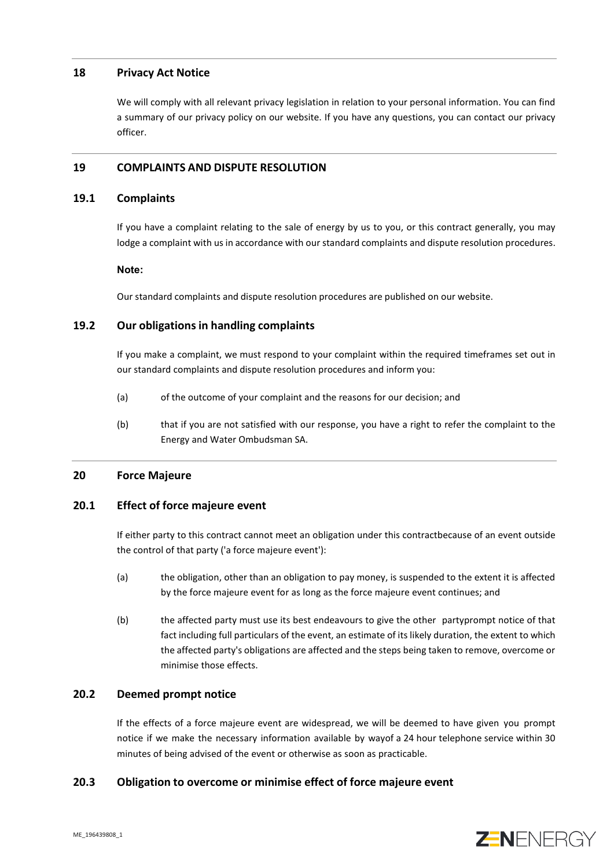## **18 Privacy Act Notice**

We will comply with all relevant privacy legislation in relation to your personal information. You can find a summary of our privacy policy on our website. If you have any questions, you can contact our privacy officer.

## **19 COMPLAINTS AND DISPUTE RESOLUTION**

#### **19.1 Complaints**

If you have a complaint relating to the sale of energy by us to you, or this contract generally, you may lodge a complaint with us in accordance with our standard complaints and dispute resolution procedures.

#### **Note:**

Our standard complaints and dispute resolution procedures are published on our website.

## **19.2 Our obligations in handling complaints**

If you make a complaint, we must respond to your complaint within the required timeframes set out in our standard complaints and dispute resolution procedures and inform you:

- (a) of the outcome of your complaint and the reasons for our decision; and
- (b) that if you are not satisfied with our response, you have a right to refer the complaint to the Energy and Water Ombudsman SA.

## **20 Force Majeure**

## **20.1 Effect of force majeure event**

If either party to this contract cannot meet an obligation under this contractbecause of an event outside the control of that party ('a force majeure event'):

- (a) the obligation, other than an obligation to pay money, is suspended to the extent it is affected by the force majeure event for as long as the force majeure event continues; and
- (b) the affected party must use its best endeavours to give the other partyprompt notice of that fact including full particulars of the event, an estimate of its likely duration, the extent to which the affected party's obligations are affected and the steps being taken to remove, overcome or minimise those effects.

## **20.2 Deemed prompt notice**

If the effects of a force majeure event are widespread, we will be deemed to have given you prompt notice if we make the necessary information available by wayof a 24 hour telephone service within 30 minutes of being advised of the event or otherwise as soon as practicable.

## **20.3 Obligation to overcome or minimise effect of force majeure event**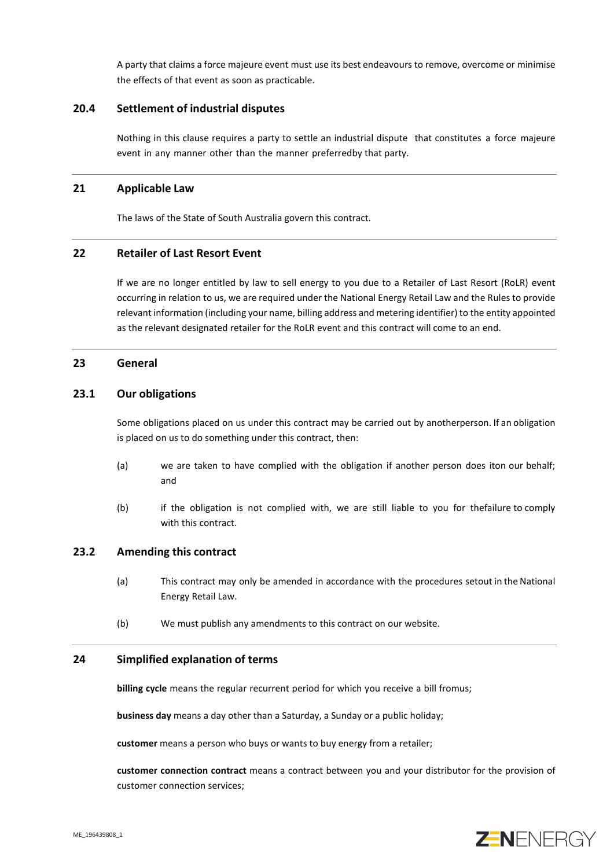A party that claims a force majeure event must use its best endeavours to remove, overcome or minimise the effects of that event as soon as practicable.

#### **20.4 Settlement of industrial disputes**

Nothing in this clause requires a party to settle an industrial dispute that constitutes a force majeure event in any manner other than the manner preferredby that party.

#### **21 Applicable Law**

The laws of the State of South Australia govern this contract.

#### **22 Retailer of Last Resort Event**

If we are no longer entitled by law to sell energy to you due to a Retailer of Last Resort (RoLR) event occurring in relation to us, we are required under the National Energy Retail Law and the Rules to provide relevant information (including your name, billing address and metering identifier) to the entity appointed as the relevant designated retailer for the RoLR event and this contract will come to an end.

#### **23 General**

#### **23.1 Our obligations**

Some obligations placed on us under this contract may be carried out by anotherperson. If an obligation is placed on us to do something under this contract, then:

- (a) we are taken to have complied with the obligation if another person does iton our behalf; and
- (b) if the obligation is not complied with, we are still liable to you for thefailure to comply with this contract.

## **23.2 Amending this contract**

- (a) This contract may only be amended in accordance with the procedures setout in the National Energy Retail Law.
- (b) We must publish any amendments to this contract on our website.

#### **24 Simplified explanation of terms**

**billing cycle** means the regular recurrent period for which you receive a bill fromus;

**business day** means a day other than a Saturday, a Sunday or a public holiday;

**customer** means a person who buys or wants to buy energy from a retailer;

**customer connection contract** means a contract between you and your distributor for the provision of customer connection services;

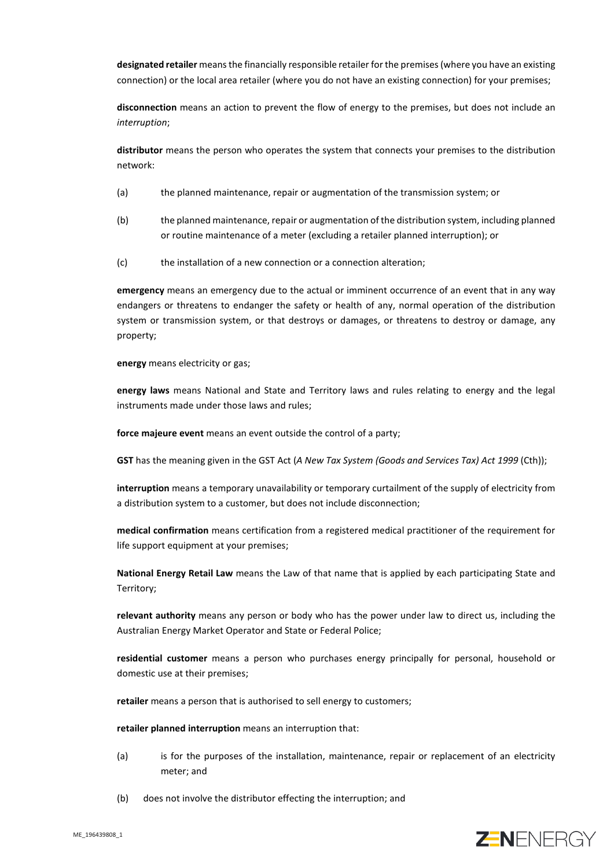**designated retailer** means the financially responsible retailer for the premises (where you have an existing connection) or the local area retailer (where you do not have an existing connection) for your premises;

**disconnection** means an action to prevent the flow of energy to the premises, but does not include an *interruption*;

**distributor** means the person who operates the system that connects your premises to the distribution network:

- (a) the planned maintenance, repair or augmentation of the transmission system; or
- (b) the planned maintenance, repair or augmentation of the distribution system, including planned or routine maintenance of a meter (excluding a retailer planned interruption); or
- (c) the installation of a new connection or a connection alteration;

**emergency** means an emergency due to the actual or imminent occurrence of an event that in any way endangers or threatens to endanger the safety or health of any, normal operation of the distribution system or transmission system, or that destroys or damages, or threatens to destroy or damage, any property;

**energy** means electricity or gas;

**energy laws** means National and State and Territory laws and rules relating to energy and the legal instruments made under those laws and rules;

**force majeure event** means an event outside the control of a party;

**GST** has the meaning given in the GST Act (*A New Tax System (Goods and Services Tax) Act 1999* (Cth));

**interruption** means a temporary unavailability or temporary curtailment of the supply of electricity from a distribution system to a customer, but does not include disconnection;

**medical confirmation** means certification from a registered medical practitioner of the requirement for life support equipment at your premises;

**National Energy Retail Law** means the Law of that name that is applied by each participating State and Territory;

**relevant authority** means any person or body who has the power under law to direct us, including the Australian Energy Market Operator and State or Federal Police;

**residential customer** means a person who purchases energy principally for personal, household or domestic use at their premises;

**retailer** means a person that is authorised to sell energy to customers;

**retailer planned interruption** means an interruption that:

- (a) is for the purposes of the installation, maintenance, repair or replacement of an electricity meter; and
- (b) does not involve the distributor effecting the interruption; and